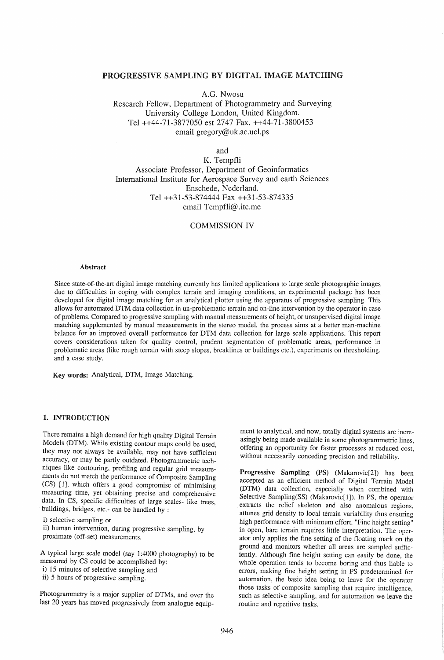## PROGRESSIVE SAMPLING BY DIGITAL IMAGE MATCHING

A.G. Nwosu

Research Fellow, Department of Photogrammetry and Surveying University College London, United Kingdom. Tel ++44-71-3877050 est 2747 Fax. ++44-71-3800453 email gregory@uk.ac.ucl.ps

and

K. Tempfli Associate Professor, Department of Geoinformatics International Institute for Aerospace Survey and earth Sciences Enschede, Nederland. Tel ++31-53-874444 Fax ++31-53-874335 email Tempfli@ .itc.me

# COMMISSION IV

#### Abstract

Since state-of-the-art digital image matching currently has limited applications to large scale photographic images due to difficulties in coping with complex terrain and imaging conditions, an experimental package has been developed for digital image matching for an analytical plotter using the apparatus of progressive sampling. This allows for automated DTM data collection in un-problematic terrain and on-line intervention by the operator in case of problems. Compared to progressive sampling with manual measurements of height, or unsupervised digital image matching supplemented by manual measurements in the stereo model, the process aims at a better man-machine balance for an improved overall performance for DTM data collection for large scale applications. This report covers considerations taken for quality control, prudent segmentation of problematic areas, performance in problematic areas (like rough terrain with steep slopes, breaklines or buildings etc.), experiments on thresholding, and a case study.

Key words: Analytical, DTM, Image Matching.

#### 1. INTRODUCTION

There remains a high demand for high quality Digital Terrain Models (DTM). While existing contour maps could be used, they may not always be available, may not have sufficient accuracy, or may be partly outdated. Photogrammetric techniques like contouring, profiling and regular grid measurements do not match the performance of Composite Sampling (CS) [1], which offers a good compromise of minimising measuring time, yet obtaining precise and comprehensive data. In CS, specific difficulties of large scales- like trees, buildings, bridges, etc.- can be handled by :

i) selective sampling or

ii) human intervention, during progressive sampling, by proximate (off-set) measurements.

A typical large scale model (say  $1:4000$  photography) to be measured by CS could be accomplished by:

- i) 15 minutes of selective sampling and
- ii) 5 hours of progressive sampling.

Photogrammetry is a major supplier of DTMs, and over the last 20 years has moved progressively from analogue equip-

ment to analytical, and now, totally digital systems are increasingly being made available in some photogrammetric lines, offering an opportunity for faster processes at reduced cost, without necessarily conceding precision and reliability.

Progressive Sampling (PS) (Makarovic[2]) has been accepted as an efficient method of Digital Terrain Model (DTM) data collection, especially when combined with Selective Sampling(SS) (Makarovic[1]). In PS, the operator extracts the relief skeleton and also anomalous regions, attunes grid density to local terrain variability thus ensuring high performance with minimum effort. "Fine height setting" in open, bare terrain requires little interpretation. The operator only applies the fine setting of the floating mark on the ground and monitors whether all areas are sampled sufficiently. Although fine height setting can easily be done, the whole operation tends to become boring and thus liable to errors, making fine height setting in PS predetermined for automation, the basic idea being to leave for the operator those tasks of composite sampling that require intelligence, such as selective sampling, and for automation we leave the routine and repetitive tasks.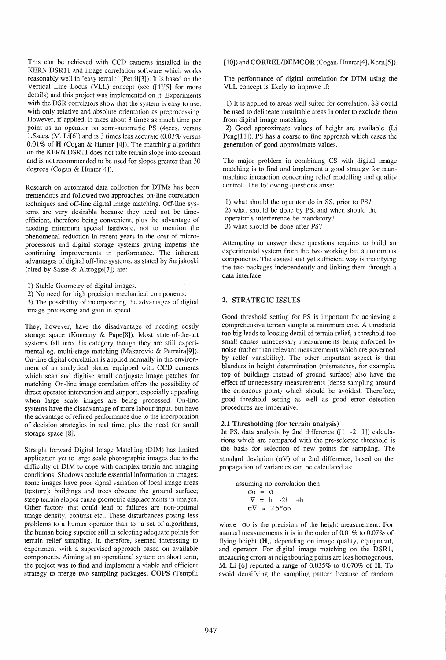This can be achieved with CCD cameras installed in the KERN DSRll and image correlation software which works reasonably well in 'easy terrain' (Petril[3]). It is based on the Vertical Line Locus (VLL) concept (see ([4][5] for more details) and this project was implemented on it. Experiments with the DSR correlators show that the system is easy to use, with only relative and absolute orientation as preprocessing. However, if applied, it takes about 3 times as much time per point as an operator on semi-automatic PS (4secs. versus 1.5secs. (M. Li[6]) and is 3 times less accurate (0.03% versus 0.01% of H (Cogan & Hunter  $[4]$ ). The matching algorithm on the KERN DSRll does not take terrain slope into account and is not recommended to be used for slopes greater than 30 degrees (Cogan & Hunter[4]).

Research on automated data collection for DTMs has been tremendous and followed two approaches, on-line correlation techniques and off-line digital image matching. Off-line systems are very desirable because they need not be timeefficient, therefore being convenient, plus the advantage of needing minimum special hardware, not to mention the phenomenal reduction in recent years in the cost of microprocessors and digital storage systems giving impetus the continuing improvements in performance. The inherent advantages of digital off-line systems, as stated by Sarjakoski (cited by Sasse & Altrogge[7]) are:

1) Stable Geometry of digital images.

2) No need for high precision mechanical components.

3) The possibility of incorporating the advantages of digital image processing and gain in speed.

They, however, have the disadvantage of needing costly storage space (Konecny & Pape[8]). Most state-of-the-art systems fall into this category though they are still experimental eg. multi-stage matching (Makarovic & Perreira[9]). On-line digital correlation is applied normally in the environment of an analytical plotter equipped with CCD cameras which scan and digitise small conjugate image patches for matching. On-line image correlation offers the possibility of direct operator intervention and support, especially appealing when large scale images are being processed. On-line systems have the disadvantage of more labour input, but have the advantage of refined performance due to the incorporation of decision strategies in real time, plus the need for small storage space [8].

Straight forward Digital Image Matching (DIM) has limited application yet to large scale photographic images due to the difficulty of DIM to cope with complex terrain and imaging conditions. Shadows occlude essential information in images; some images have poor signal variation of local image areas (texture); buildings and trees obscure the ground surface; steep terrain slopes cause geometric displacements in images. Other factors that could lead to failures are non-optimal image density, contrast etc.. These disturbances posing less prpblems to a human operator than to a set of algorithms, the human being superior still in selecting adequate points for terrain relief sampling. It, therefore, seemed interesting to experiment with a supervised approach based on available components. Aiming at an operational system on short term, the project was to find and implement a viable and efficient strategy to merge two sampling packages, COPS (Tempfli

[10]) and CORREL/DEMCOR (Cogan, Hunter[4], Kern[5]).

The performance of digital correlation for DTM using the VLL concept is likely to improve if:

1) It is applied to areas well suited for correlation. SS could be used to delineate unsuitable areas in order to exclude them from digital image matching.

2) Good approximate values of height are available (Li Peng[11]). PS has a coarse to fine approach which eases the generation of good approximate values.

The major problem in combining CS with digital image matching is to find and implement a good strategy for manmachine interaction concerning relief modelling and quality control. The following questions arise:

1) what should the operator do in SS, prior to PS? 2) what should be done by PS, and when should the operator's interference be mandatory? 3) what should be done after PS?

Attempting to answer these questions requires to build an experimental system from the two working but autonomous components. The easiest and yet sufficient way is modifying the two packages independently and linking them through a data interface.

## 2. STRATEGIC ISSUES

Good threshold setting for PS is important for achieving a comprehensive terrain sample at minimum cost. A threshold too big leads to loosing detail of terrain relief, a threshold too small causes unnecessary measurements being enforced by noise (rather than relevant measurements which are governed by relief variability). The other important aspect is that blunders in height determination (mismatches, for example, top of buildings instead of ground surface) also have the effect of unnecessary measurements (dense sampling around the erroneous point) which should be avoided. Therefore, good threshold setting as well as good error detection procedures are imperative.

#### 2.1 Thresholding (for terrain analysis)

In PS, data analysis by 2nd difference ([1 -2 1]) calculations which are compared with the pre-selected threshold is the basis for selection of new points for sampling. The standard deviation  $(\sigma \nabla)$  of a 2nd difference, based on the propagation of variances can be calculated as:

assuming no correlation then  $\sigma$  =  $\sigma$  $\nabla = h -2h +h$  $\sigma \nabla \approx 2.5* \sigma o$ 

where  $\sigma$ o is the precision of the height measurement. For manual measurements it is in the order of 0.01% to 0.07% of flying height (H), depending on image quality, equipment, and operator. For digital image matching on the DSR1, measuring errors at neighbouring points are less homogenous, M. Li [6] reported a range of 0.035% to 0.070% of H. To avoid densifying the sampling pattern because of random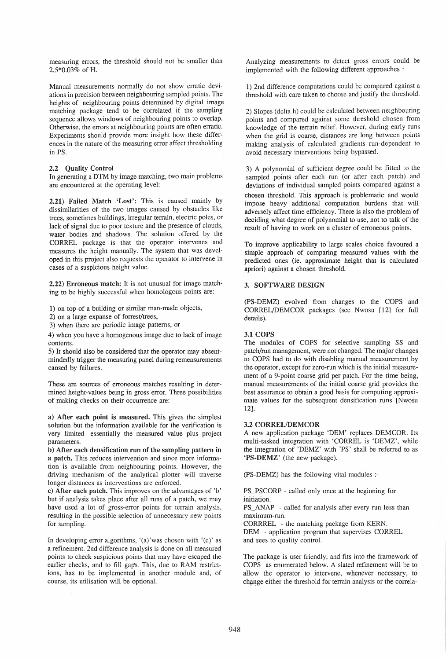measuring errors, the threshold should not be smaller than 2.5\*0.03% of H.

Manual measurements normally do not show erratic deviations in precision between neighbouring sampled points. The heights of neighbouring points determined by digital image matching package tend to be correlated if the sampling sequence allows windows of neighbouring points to overlap. Otherwise, the errors at neighbouring points are often erratic. Experiments should provide more insight how these differences in the nature of the measuring error affect thresholding in PS.

### 2.2 Quality Control

In generating a DTM by image matching, two main problems are encountered at the operating level:

2.21) Failed Match 'Lost': This is caused mainly by dissimilarities of the two images caused by obstacles like trees, sometimes buildings, irregular terrain, electric poles, or lack of signal due to poor texture and the presence of clouds, water bodies and shadows. The solution offered by the CORREL package is that the operator intervenes and measures the height manually. The system that was developed in this project also requests the operator to intervene in cases of a suspicious height value.

2.22) Erroneous match: It is not unusual for image matching to be highly successful when homologous points are:

1) on top of a building or similar man-made objects,

2) on a large expanse of forrest/trees,

3) when there are periodic image patterns, or

4) when you have a homogenous image due to lack of image contents.

5) It should also be considered that the operator may absentmindedly trigger the measuring panel during remeasurements caused by failures.

These are sources of erroneous matches resulting in determined height-values being in gross error. Three possibilities of making checks on their occurrence are:

a) After each point is measured. This gives the simplest solution but the information available for the verification is very limited -essentially the measured value plus project parameters.

b) After each densification run of the sampling pattern in a patch. This reduces intervention and since more information is available from neighbouring points. However, the driving mechanism of the analytical plotter will traverse longer distances as interventions are enforced.

c) After each patch. This improves on the advantages of 'b' but if analysis takes place after all runs of a patch, we may have used a lot of gross-error points for terrain analysis, resulting in the possible selection of unnecessary new points for sampling.

In developing error algorithms, '(a)'was chosen with '(c)' as a refinement. 2nd difference analysis is done on all measured points to check suspicious points that may have escaped the earlier checks, and to fill gap's. This, due to RAM restrictions, has to be implemented in another module and, of course, its utilisation will be optional.

Analyzing measurements to detect gross errors could be implemented with the following different approaches :

1) 2nd difference computations could be compared against a threshold with care taken to choose and justify the threshold.

2) Slopes (delta h) could be calculated between neighbouring points and compared against some threshold chosen from knowledge of the terrain relief. However, during early runs when the grid is coarse, distances are long between points making analysis of calculated gradients run-dependent to avoid necessary interventions being bypassed.

3) A polynomial of sufficient degree could be fitted to the sampled points after each run (or after each patch) and deviations of individual sampled points compared against a chosen threshold. This approach is problematic and would impose heavy additional computation burdens that will adversely affect time efficiency. There is also the problem of deciding what degree of polynomial to use, not to talk of the result of having to work on a cluster of erroneous points.

To improve applicability to large scales choice favoured a simple approach of comparing measured values with the predicted ones (ie. approximate height that is calculated apriori) against a chosen threshold.

## 3. SOFTWARE DESIGN

(PS-DEMZ) evolved from changes to the COPS and CORREL/DEMCOR packages (see Nwosu [12] for full details).

## 3.1 COPS

The modules of COPS for selective sampling SS and patch/run management, were not changed. The major changes to COPS had to do with disabling manual measurement by the operator, except for zero-run which is the initial measurement of a 9-point coarse grid per patch. For the time being, manual measurements of the initial coarse grid provides the best assurance to obtain a good basis for computing approximate values for the subsequent densification runs [Nwosu 12].

### 3.2 CORREL/DEMCOR

A new application package 'DEM' replaces DEMCOR. Its multi-tasked integration with 'CORREL is 'DEMZ', while the integration of 'DEMZ' with 'PS' shall be referred to as 'PS-DEMZ' (the new package).

(PS-DEMZ) has the following vital modules :-

PS\_PSCORP - called only once at the beginning for initiation.

PS\_ANAP - called for analysis after every run less than maximum-run.

CORRREL - the matching package from KERN. DEM - application program that supervises CORREL and sees to quality control.

The package is user friendly, and fits into the framework of COPS as enumerated below. A slated refinement will be to allow the operator to intervene, whenever necessary, to change either the threshold for terrain analysis or the correla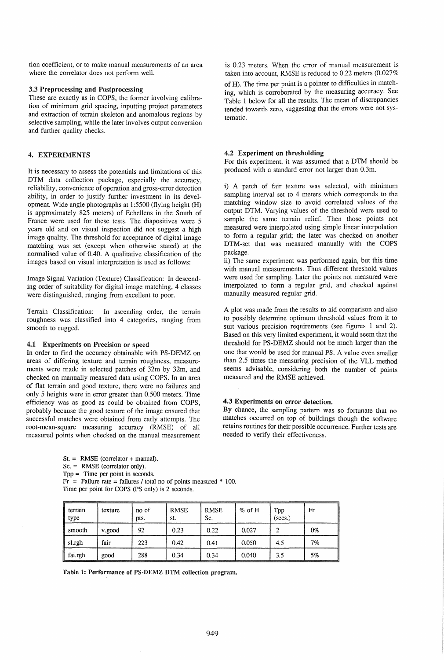tion coefficient, or to make manual measurements of an area where the correlator does not perform well.

## 3.3 Preprocessing and Postprocessing

These are exactly as in COPS, the former involving calibration of minimum grid spacing, inputting project parameters and extraction of terrain skeleton and anomalous regions by selective sampling, while the later involves output conversion and further quality checks.

### 4. EXPERIMENTS

It is necessary to assess the potentials and limitations of this DTM data collection package, especially the accuracy, reliability, convenience of operation and gross-error detection ability, in order to justify further investment in its development. Wide angle photographs at 1:5500 (flying height (H) is approximately 825 meters) of Echellens in the South of France were used for these tests. The diapositives were 5 years old and on visual inspection did not suggest a high image quality. The threshold for acceptance of digital image matching was set (except when otherwise stated) at the normalised value of 0.40. A qualitative classification of the images based on visual interpretation is used as follows:

Image Signal Variation (Texture) Classification: In descending order of suitability for digital image matching, 4 classes were distinguished, ranging from excellent to poor.

Terrain Classification: In ascending order, the terrain roughness was classified into 4 categories, ranging from smooth to rugged.

#### 4.1 Experiments on Precision or speed

In order to find the accuracy obtainable with PS-DEMZ on areas of differing texture and terrain roughness, measurements were made in selected patches of 32m by 32m, and checked on manually measured data using COPS. In an area of flat terrain and good texture, there were no failures and only 5 heights were in error greater than 0.500 meters. Time efficiency was as good as could be obtained from COPS, probably because the good texture of the image ensured that successful matches were obtained from early attempts. The root-mean-square measuring accuracy (RMSE) of all measured points when checked on the manual measurement

 $St. = RMSE$  (correlator + manual).

Sc. = RMSE (correlator only).

Tpp = Time per point in seconds.

 $Fr =$  Failure rate = failures / total no of points measured  $*$  100. Time per point for COPS (PS only) is 2 seconds.

| terrain<br>type | texture | no of<br>pts. | <b>RMSE</b><br>st. | <b>RMSE</b><br>Sc. | $%$ of H | Tpp<br>(secs.) | Fr |
|-----------------|---------|---------------|--------------------|--------------------|----------|----------------|----|
| smooth          | v.good  | 92            | 0.23               | 0.22               | 0.027    |                | 0% |
| sl.rgh          | fair    | 223           | 0.42               | 0.41               | 0.050    | 4.5            | 7% |
| fai.rgh         | good    | 288           | 0.34               | 0.34               | 0.040    | 3.5            | 5% |

Table 1: Performance of PS-DEMZ DTM collection program.

is 0.23 meters. When the error of manual measurement is taken into account, RMSE is reduced to 0.22 meters (0.027%

of H). The time per point is a pointer to difficulties in matching, which is corroborated by the measuring accuracy. See Table 1 below for all the results. The mean of discrepancies tended towards zero, suggesting that the errors were not systematic.

#### 4.2 Experiment on thresholding

For this experiment, it was assumed that a DTM should be produced with a standard error not larger than O.3m.

i) A patch of fair texture was selected, with minimum sampling interval set to 4 meters which corresponds to the matching window size to avoid correlated values of the output DTM. Varying values of the threshold were used to sample the same terrain relief. Then those points not measured were interpolated using simple linear interpolation to form a regular grid; the later was checked on another DTM-set that was measured manually with the COPS package.

ii) The same experiment was performed again, but this time with manual measurements. Thus different threshold values were used for sampling. Later the points not measured were interpolated to form a regular grid, and checked against manually measured regular grid.

A plot was made from the results to aid comparison and also to possibly determine optimum threshold values from it to suit various precision requirements (see figures 1 and 2). Based on this very limited experiment, it would seem that the threshold for PS-DEMZ should not be much larger than the one that would be used for manual PS. A value even smaller than 2.5 times the measuring precision of the VLL method seems advisable, considering both the number of points measured and the RMSE achieved.

## 4.3 Experiments on error detection.

By chance, the sampling pattern was so fortunate that no matches occurred on top of buildings though the software retains routines for their possible occurrence. Further tests are needed to verify their effectiveness.